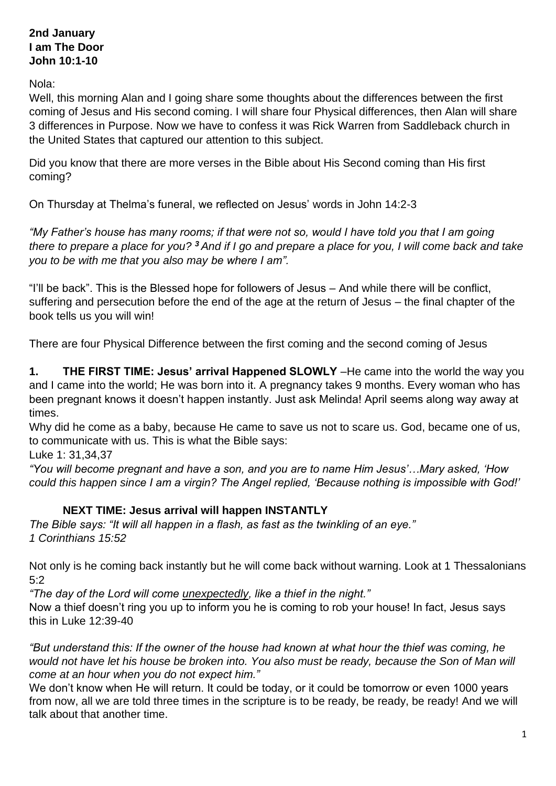### **2nd January I am The Door John 10:1-10**

Nola:

Well, this morning Alan and I going share some thoughts about the differences between the first coming of Jesus and His second coming. I will share four Physical differences, then Alan will share 3 differences in Purpose. Now we have to confess it was Rick Warren from Saddleback church in the United States that captured our attention to this subject.

Did you know that there are more verses in the Bible about His Second coming than His first coming?

On Thursday at Thelma's funeral, we reflected on Jesus' words in John 14:2-3

*"My Father's house has many rooms; if that were not so, would I have told you that I am going there to prepare a place for you? <sup>3</sup> And if I go and prepare a place for you, I will come back and take you to be with me that you also may be where I am".*

"I'll be back". This is the Blessed hope for followers of Jesus – And while there will be conflict, suffering and persecution before the end of the age at the return of Jesus – the final chapter of the book tells us you will win!

There are four Physical Difference between the first coming and the second coming of Jesus

**1. THE FIRST TIME: Jesus' arrival Happened SLOWLY** –He came into the world the way you and I came into the world; He was born into it. A pregnancy takes 9 months. Every woman who has been pregnant knows it doesn't happen instantly. Just ask Melinda! April seems along way away at times.

Why did he come as a baby, because He came to save us not to scare us. God, became one of us, to communicate with us. This is what the Bible says:

Luke 1: 31,34,37

*"You will become pregnant and have a son, and you are to name Him Jesus'…Mary asked, 'How could this happen since I am a virgin? The Angel replied, 'Because nothing is impossible with God!'*

#### **NEXT TIME: Jesus arrival will happen INSTANTLY**

*The Bible says: "It will all happen in a flash, as fast as the twinkling of an eye." 1 Corinthians 15:52* 

Not only is he coming back instantly but he will come back without warning. Look at 1 Thessalonians 5:2

*"The day of the Lord will come unexpectedly, like a thief in the night."*  Now a thief doesn't ring you up to inform you he is coming to rob your house! In fact, Jesus says this in Luke 12:39-40

*"But understand this: If the owner of the house had known at what hour the thief was coming, he would not have let his house be broken into. You also must be ready, because the Son of Man will come at an hour when you do not expect him."*

We don't know when He will return. It could be today, or it could be tomorrow or even 1000 years from now, all we are told three times in the scripture is to be ready, be ready, be ready! And we will talk about that another time.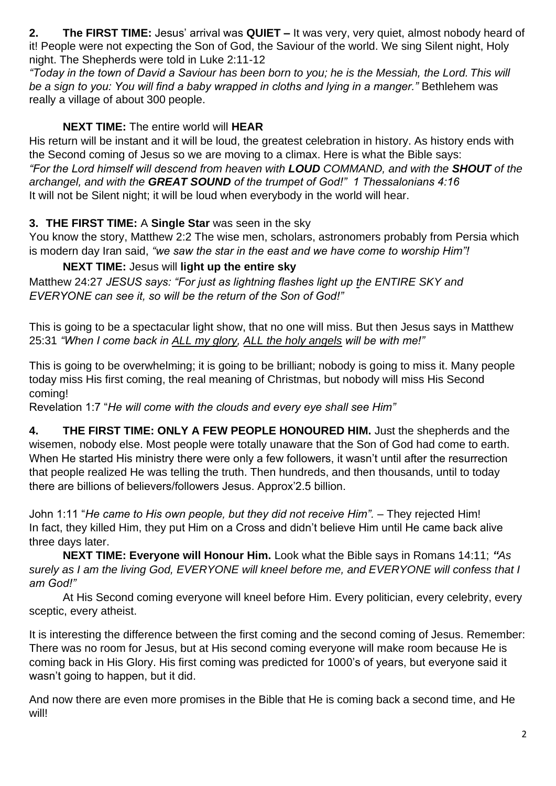**2. The FIRST TIME:** Jesus' arrival was **QUIET –** It was very, very quiet, almost nobody heard of it! People were not expecting the Son of God, the Saviour of the world. We sing Silent night, Holy night. The Shepherds were told in Luke 2:11-12

*"Today in the town of David a Saviour has been born to you; he is the Messiah, the Lord. This will be a sign to you: You will find a baby wrapped in cloths and lying in a manger."* Bethlehem was really a village of about 300 people.

# **NEXT TIME:** The entire world will **HEAR**

His return will be instant and it will be loud, the greatest celebration in history. As history ends with the Second coming of Jesus so we are moving to a climax. Here is what the Bible says: *"For the Lord himself will descend from heaven with LOUD COMMAND, and with the SHOUT of the archangel, and with the GREAT SOUND of the trumpet of God!" 1 Thessalonians 4:16*  It will not be Silent night; it will be loud when everybody in the world will hear.

# **3. THE FIRST TIME:** A **Single Star** was seen in the sky

You know the story, Matthew 2:2 The wise men, scholars, astronomers probably from Persia which is modern day Iran said, *"we saw the star in the east and we have come to worship Him"!*

# **NEXT TIME:** Jesus will **light up the entire sky**

Matthew 24:27 *JESUS says: "For just as lightning flashes light up the ENTIRE SKY and EVERYONE can see it, so will be the return of the Son of God!"* 

This is going to be a spectacular light show, that no one will miss. But then Jesus says in Matthew 25:31 *"When I come back in ALL my glory, ALL the holy angels will be with me!"* 

This is going to be overwhelming; it is going to be brilliant; nobody is going to miss it. Many people today miss His first coming, the real meaning of Christmas, but nobody will miss His Second coming!

Revelation 1:7 "*He will come with the clouds and every eye shall see Him"*

**4. THE FIRST TIME: ONLY A FEW PEOPLE HONOURED HIM.** Just the shepherds and the wisemen, nobody else. Most people were totally unaware that the Son of God had come to earth. When He started His ministry there were only a few followers, it wasn't until after the resurrection that people realized He was telling the truth. Then hundreds, and then thousands, until to today there are billions of believers/followers Jesus. Approx'2.5 billion.

John 1:11 "*He came to His own people, but they did not receive Him".* – They rejected Him! In fact, they killed Him, they put Him on a Cross and didn't believe Him until He came back alive three days later.

**NEXT TIME: Everyone will Honour Him.** Look what the Bible says in Romans 14:11; *"As surely as I am the living God, EVERYONE will kneel before me, and EVERYONE will confess that I am God!"* 

At His Second coming everyone will kneel before Him. Every politician, every celebrity, every sceptic, every atheist.

It is interesting the difference between the first coming and the second coming of Jesus. Remember: There was no room for Jesus, but at His second coming everyone will make room because He is coming back in His Glory. His first coming was predicted for 1000's of years, but everyone said it wasn't going to happen, but it did.

And now there are even more promises in the Bible that He is coming back a second time, and He will!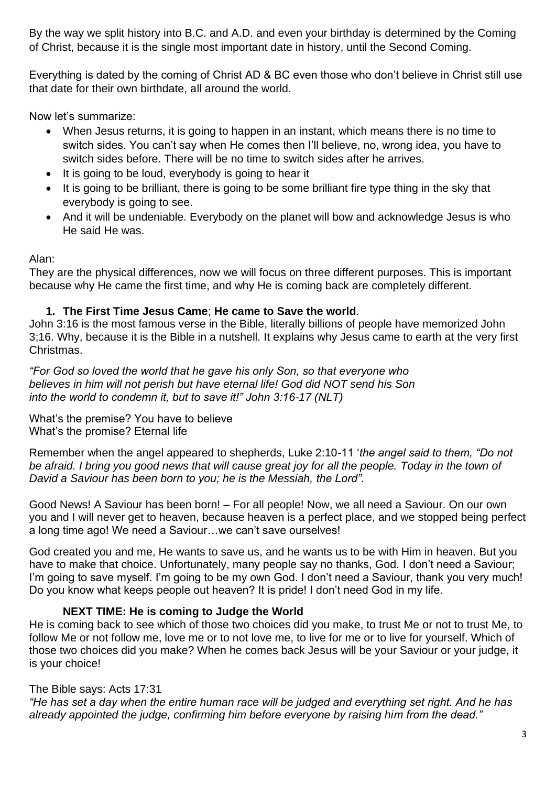By the way we split history into B.C. and A.D. and even your birthday is determined by the Coming of Christ, because it is the single most important date in history, until the Second Coming.

Everything is dated by the coming of Christ AD & BC even those who don't believe in Christ still use that date for their own birthdate, all around the world.

Now let's summarize:

- When Jesus returns, it is going to happen in an instant, which means there is no time to switch sides. You can't say when He comes then I'll believe, no, wrong idea, you have to switch sides before. There will be no time to switch sides after he arrives.
- It is going to be loud, everybody is going to hear it
- It is going to be brilliant, there is going to be some brilliant fire type thing in the sky that everybody is going to see.
- And it will be undeniable. Everybody on the planet will bow and acknowledge Jesus is who He said He was.

Alan:

They are the physical differences, now we will focus on three different purposes. This is important because why He came the first time, and why He is coming back are completely different.

### **1. The First Time Jesus Came**; **He came to Save the world**.

John 3:16 is the most famous verse in the Bible, literally billions of people have memorized John 3;16. Why, because it is the Bible in a nutshell. It explains why Jesus came to earth at the very first Christmas.

*"For God so loved the world that he gave his only Son, so that everyone who believes in him will not perish but have eternal life! God did NOT send his Son into the world to condemn it, but to save it!" John 3:16-17 (NLT)*

What's the premise? You have to believe What's the promise? Eternal life

Remember when the angel appeared to shepherds, Luke 2:10-11 '*the angel said to them, "Do not be afraid. I bring you good news that will cause great joy for all the people. Today in the town of David a Saviour has been born to you; he is the Messiah, the Lord".*

Good News! A Saviour has been born! – For all people! Now, we all need a Saviour. On our own you and I will never get to heaven, because heaven is a perfect place, and we stopped being perfect a long time ago! We need a Saviour…we can't save ourselves!

God created you and me, He wants to save us, and he wants us to be with Him in heaven. But you have to make that choice. Unfortunately, many people say no thanks, God. I don't need a Saviour; I'm going to save myself. I'm going to be my own God. I don't need a Saviour, thank you very much! Do you know what keeps people out heaven? It is pride! I don't need God in my life.

## **NEXT TIME: He is coming to Judge the World**

He is coming back to see which of those two choices did you make, to trust Me or not to trust Me, to follow Me or not follow me, love me or to not love me, to live for me or to live for yourself. Which of those two choices did you make? When he comes back Jesus will be your Saviour or your judge, it is your choice!

## The Bible says: Acts 17:31

*"He has set a day when the entire human race will be judged and everything set right. And he has already appointed the judge, confirming him before everyone by raising him from the dead."*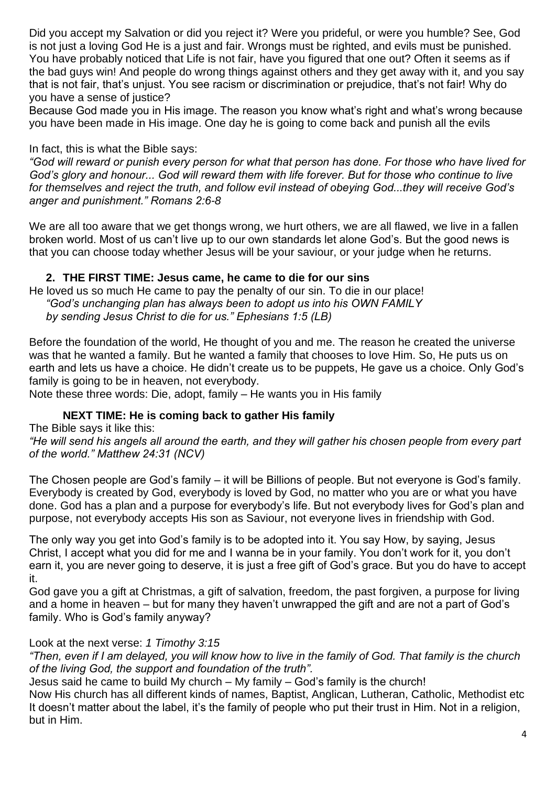Did you accept my Salvation or did you reject it? Were you prideful, or were you humble? See, God is not just a loving God He is a just and fair. Wrongs must be righted, and evils must be punished. You have probably noticed that Life is not fair, have you figured that one out? Often it seems as if the bad guys win! And people do wrong things against others and they get away with it, and you say that is not fair, that's unjust. You see racism or discrimination or prejudice, that's not fair! Why do you have a sense of justice?

Because God made you in His image. The reason you know what's right and what's wrong because you have been made in His image. One day he is going to come back and punish all the evils

#### In fact, this is what the Bible says:

*"God will reward or punish every person for what that person has done. For those who have lived for God's glory and honour... God will reward them with life forever. But for those who continue to live for themselves and reject the truth, and follow evil instead of obeying God...they will receive God's anger and punishment." Romans 2:6-8*

We are all too aware that we get thongs wrong, we hurt others, we are all flawed, we live in a fallen broken world. Most of us can't live up to our own standards let alone God's. But the good news is that you can choose today whether Jesus will be your saviour, or your judge when he returns.

#### **2. THE FIRST TIME: Jesus came, he came to die for our sins**

He loved us so much He came to pay the penalty of our sin. To die in our place! *"God's unchanging plan has always been to adopt us into his OWN FAMILY by sending Jesus Christ to die for us." Ephesians 1:5 (LB)*

Before the foundation of the world, He thought of you and me. The reason he created the universe was that he wanted a family. But he wanted a family that chooses to love Him. So, He puts us on earth and lets us have a choice. He didn't create us to be puppets, He gave us a choice. Only God's family is going to be in heaven, not everybody.

Note these three words: Die, adopt, family – He wants you in His family

#### **NEXT TIME: He is coming back to gather His family**

The Bible says it like this:

*"He will send his angels all around the earth, and they will gather his chosen people from every part of the world." Matthew 24:31 (NCV)*

The Chosen people are God's family – it will be Billions of people. But not everyone is God's family. Everybody is created by God, everybody is loved by God, no matter who you are or what you have done. God has a plan and a purpose for everybody's life. But not everybody lives for God's plan and purpose, not everybody accepts His son as Saviour, not everyone lives in friendship with God.

The only way you get into God's family is to be adopted into it. You say How, by saying, Jesus Christ, I accept what you did for me and I wanna be in your family. You don't work for it, you don't earn it, you are never going to deserve, it is just a free gift of God's grace. But you do have to accept it.

God gave you a gift at Christmas, a gift of salvation, freedom, the past forgiven, a purpose for living and a home in heaven – but for many they haven't unwrapped the gift and are not a part of God's family. Who is God's family anyway?

#### Look at the next verse: *1 Timothy 3:15*

*"Then, even if I am delayed, you will know how to live in the family of God. That family is the church of the living God, the support and foundation of the truth".*

Jesus said he came to build My church – My family – God's family is the church!

Now His church has all different kinds of names, Baptist, Anglican, Lutheran, Catholic, Methodist etc It doesn't matter about the label, it's the family of people who put their trust in Him. Not in a religion, but in Him.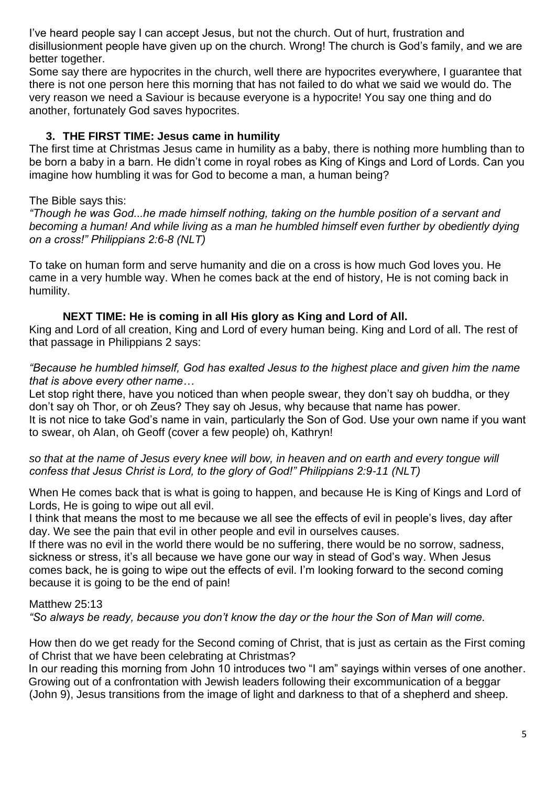I've heard people say I can accept Jesus, but not the church. Out of hurt, frustration and disillusionment people have given up on the church. Wrong! The church is God's family, and we are better together.

Some say there are hypocrites in the church, well there are hypocrites everywhere, I guarantee that there is not one person here this morning that has not failed to do what we said we would do. The very reason we need a Saviour is because everyone is a hypocrite! You say one thing and do another, fortunately God saves hypocrites.

### **3. THE FIRST TIME: Jesus came in humility**

The first time at Christmas Jesus came in humility as a baby, there is nothing more humbling than to be born a baby in a barn. He didn't come in royal robes as King of Kings and Lord of Lords. Can you imagine how humbling it was for God to become a man, a human being?

### The Bible says this:

*"Though he was God...he made himself nothing, taking on the humble position of a servant and becoming a human! And while living as a man he humbled himself even further by obediently dying on a cross!" Philippians 2:6-8 (NLT)*

To take on human form and serve humanity and die on a cross is how much God loves you. He came in a very humble way. When he comes back at the end of history, He is not coming back in humility.

### **NEXT TIME: He is coming in all His glory as King and Lord of All.**

King and Lord of all creation, King and Lord of every human being. King and Lord of all. The rest of that passage in Philippians 2 says:

#### *"Because he humbled himself, God has exalted Jesus to the highest place and given him the name that is above every other name…*

Let stop right there, have you noticed than when people swear, they don't say oh buddha, or they don't say oh Thor, or oh Zeus? They say oh Jesus, why because that name has power. It is not nice to take God's name in vain, particularly the Son of God. Use your own name if you want to swear, oh Alan, oh Geoff (cover a few people) oh, Kathryn!

#### *so that at the name of Jesus every knee will bow, in heaven and on earth and every tongue will confess that Jesus Christ is Lord, to the glory of God!" Philippians 2:9-11 (NLT)*

When He comes back that is what is going to happen, and because He is King of Kings and Lord of Lords, He is going to wipe out all evil.

I think that means the most to me because we all see the effects of evil in people's lives, day after day. We see the pain that evil in other people and evil in ourselves causes.

If there was no evil in the world there would be no suffering, there would be no sorrow, sadness, sickness or stress, it's all because we have gone our way in stead of God's way. When Jesus comes back, he is going to wipe out the effects of evil. I'm looking forward to the second coming because it is going to be the end of pain!

#### Matthew 25:13

*"So always be ready, because you don't know the day or the hour the Son of Man will come.*

How then do we get ready for the Second coming of Christ, that is just as certain as the First coming of Christ that we have been celebrating at Christmas?

In our reading this morning from John 10 introduces two "I am" sayings within verses of one another. Growing out of a confrontation with Jewish leaders following their excommunication of a beggar (John 9), Jesus transitions from the image of light and darkness to that of a shepherd and sheep.